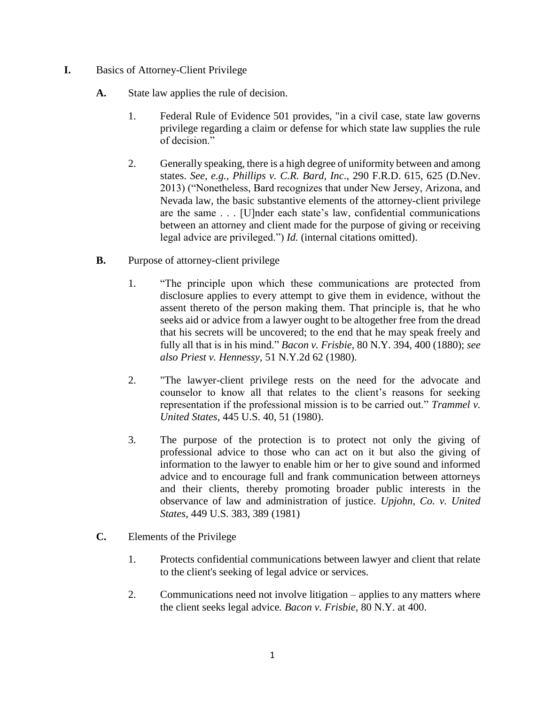## **I.** Basics of Attorney-Client Privilege

- **A.** State law applies the rule of decision.
	- 1. Federal Rule of Evidence 501 provides, "in a civil case, state law governs privilege regarding a claim or defense for which state law supplies the rule of decision."
	- 2. Generally speaking, there is a high degree of uniformity between and among states. *See, e.g., Phillips v. C.R. Bard, Inc*., 290 F.R.D. 615, 625 (D.Nev. 2013) ("Nonetheless, Bard recognizes that under New Jersey, Arizona, and Nevada law, the basic substantive elements of the attorney-client privilege are the same . . . [U]nder each state's law, confidential communications between an attorney and client made for the purpose of giving or receiving legal advice are privileged.") *Id.* (internal citations omitted).
- **B.** Purpose of attorney-client privilege
	- 1. "The principle upon which these communications are protected from disclosure applies to every attempt to give them in evidence, without the assent thereto of the person making them. That principle is, that he who seeks aid or advice from a lawyer ought to be altogether free from the dread that his secrets will be uncovered; to the end that he may speak freely and fully all that is in his mind." *Bacon v. Frisbie*, 80 N.Y. 394, 400 (1880); *see also Priest v. Hennessy*, 51 N.Y.2d 62 (1980).
	- 2. "The lawyer-client privilege rests on the need for the advocate and counselor to know all that relates to the client's reasons for seeking representation if the professional mission is to be carried out." *Trammel v. United States*, 445 U.S. 40, 51 (1980).
	- 3. The purpose of the protection is to protect not only the giving of professional advice to those who can act on it but also the giving of information to the lawyer to enable him or her to give sound and informed advice and to encourage full and frank communication between attorneys and their clients, thereby promoting broader public interests in the observance of law and administration of justice. *Upjohn, Co. v. United States*, 449 U.S. 383, 389 (1981)
- **C.** Elements of the Privilege
	- 1. Protects confidential communications between lawyer and client that relate to the client's seeking of legal advice or services.
	- 2. Communications need not involve litigation applies to any matters where the client seeks legal advice*. Bacon v. Frisbie*, 80 N.Y. at 400.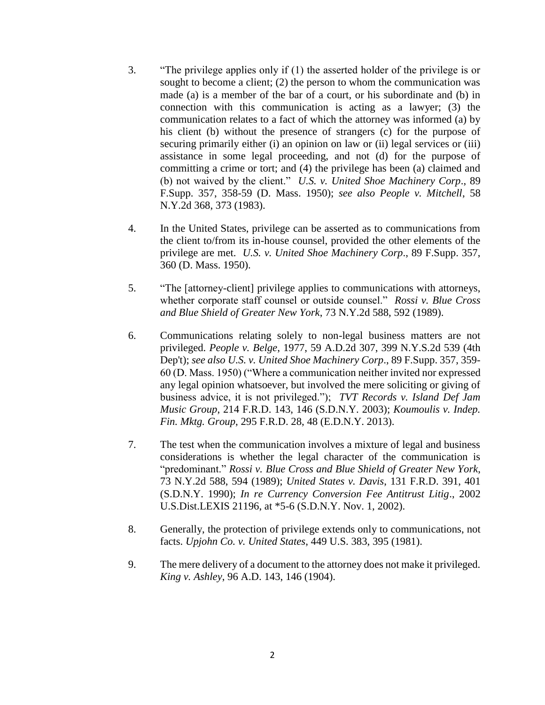- 3. "The privilege applies only if (1) the asserted holder of the privilege is or sought to become a client; (2) the person to whom the communication was made (a) is a member of the bar of a court, or his subordinate and (b) in connection with this communication is acting as a lawyer; (3) the communication relates to a fact of which the attorney was informed (a) by his client (b) without the presence of strangers (c) for the purpose of securing primarily either (i) an opinion on law or (ii) legal services or (iii) assistance in some legal proceeding, and not (d) for the purpose of committing a crime or tort; and (4) the privilege has been (a) claimed and (b) not waived by the client." *U.S. v. United Shoe Machinery Corp*., 89 F.Supp. 357, 358-59 (D. Mass. 1950); *see also People v. Mitchell*, 58 N.Y.2d 368, 373 (1983).
- 4. In the United States, privilege can be asserted as to communications from the client to/from its in-house counsel, provided the other elements of the privilege are met. *U.S. v. United Shoe Machinery Corp*., 89 F.Supp. 357, 360 (D. Mass. 1950).
- 5. "The [attorney-client] privilege applies to communications with attorneys, whether corporate staff counsel or outside counsel." *Rossi v. Blue Cross and Blue Shield of Greater New York*, 73 N.Y.2d 588, 592 (1989).
- 6. Communications relating solely to non-legal business matters are not privileged. *People v. Belge*, 1977, 59 A.D.2d 307, 399 N.Y.S.2d 539 (4th Dep't); *see also U.S. v. United Shoe Machinery Corp*., 89 F.Supp. 357, 359- 60 (D. Mass. 1950) ("Where a communication neither invited nor expressed any legal opinion whatsoever, but involved the mere soliciting or giving of business advice, it is not privileged."); *TVT Records v. Island Def Jam Music Group*, 214 F.R.D. 143, 146 (S.D.N.Y. 2003); *Koumoulis v. Indep. Fin. Mktg. Group*, 295 F.R.D. 28, 48 (E.D.N.Y. 2013).
- 7. The test when the communication involves a mixture of legal and business considerations is whether the legal character of the communication is "predominant." *Rossi v. Blue Cross and Blue Shield of Greater New York*, 73 N.Y.2d 588, 594 (1989); *United States v. Davis*, 131 F.R.D. 391, 401 (S.D.N.Y. 1990); *In re Currency Conversion Fee Antitrust Litig*., 2002 U.S.Dist.LEXIS 21196, at \*5-6 (S.D.N.Y. Nov. 1, 2002).
- 8. Generally, the protection of privilege extends only to communications, not facts. *Upjohn Co. v. United States*, 449 U.S. 383, 395 (1981).
- 9. The mere delivery of a document to the attorney does not make it privileged. *King v. Ashley*, 96 A.D. 143, 146 (1904).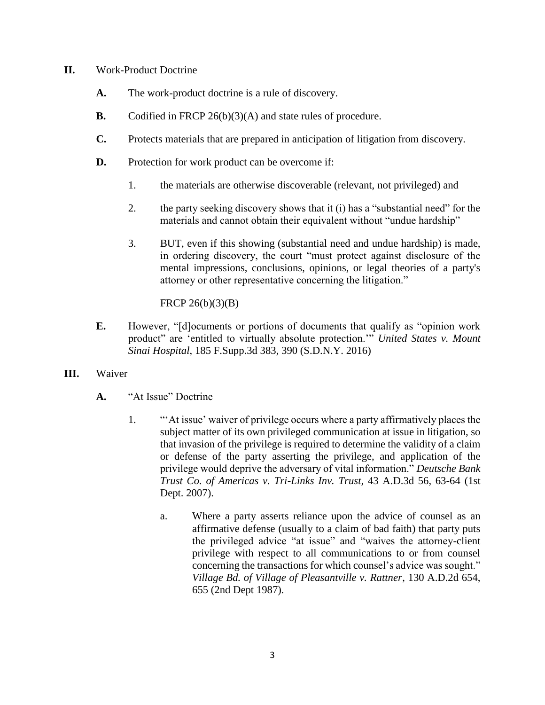## **II.** Work-Product Doctrine

- **A.** The work-product doctrine is a rule of discovery.
- **B.** Codified in FRCP 26(b)(3)(A) and state rules of procedure.
- **C.** Protects materials that are prepared in anticipation of litigation from discovery.
- **D.** Protection for work product can be overcome if:
	- 1. the materials are otherwise discoverable (relevant, not privileged) and
	- 2. the party seeking discovery shows that it (i) has a "substantial need" for the materials and cannot obtain their equivalent without "undue hardship"
	- 3. BUT, even if this showing (substantial need and undue hardship) is made, in ordering discovery, the court "must protect against disclosure of the mental impressions, conclusions, opinions, or legal theories of a party's attorney or other representative concerning the litigation."

## FRCP 26(b)(3)(B)

- **E.** However, "[d]ocuments or portions of documents that qualify as "opinion work product" are 'entitled to virtually absolute protection.'" *United States v. Mount Sinai Hospital*, 185 F.Supp.3d 383, 390 (S.D.N.Y. 2016)
- **III.** Waiver
	- **A.** "At Issue" Doctrine
		- 1. "'At issue' waiver of privilege occurs where a party affirmatively places the subject matter of its own privileged communication at issue in litigation, so that invasion of the privilege is required to determine the validity of a claim or defense of the party asserting the privilege, and application of the privilege would deprive the adversary of vital information." *Deutsche Bank Trust Co. of Americas v. Tri-Links Inv. Trust,* 43 A.D.3d 56, 63-64 (1st Dept. 2007).
			- a. Where a party asserts reliance upon the advice of counsel as an affirmative defense (usually to a claim of bad faith) that party puts the privileged advice "at issue" and "waives the attorney-client privilege with respect to all communications to or from counsel concerning the transactions for which counsel's advice was sought." *Village Bd. of Village of Pleasantville v. Rattner*, 130 A.D.2d 654, 655 (2nd Dept 1987).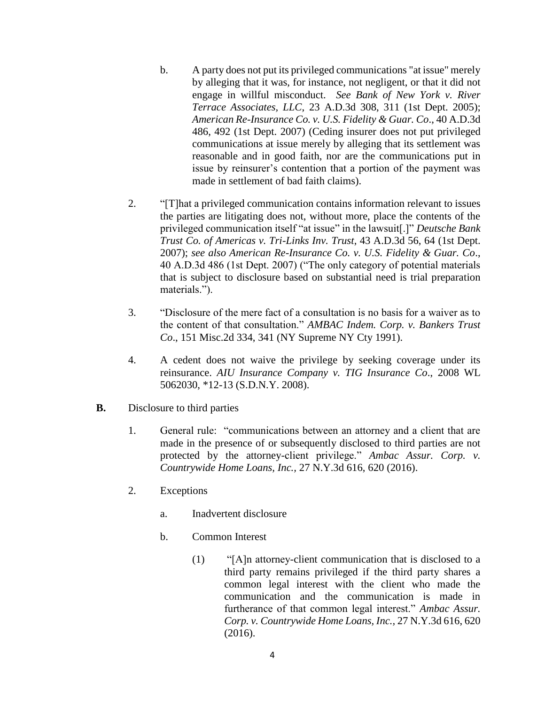- b. A party does not put its privileged communications "at issue" merely by alleging that it was, for instance, not negligent, or that it did not engage in willful misconduct. *See Bank of New York v. River Terrace Associates, LLC*, 23 A.D.3d 308, 311 (1st Dept. 2005); *American Re-Insurance Co. v. U.S. Fidelity & Guar. Co*., 40 A.D.3d 486, 492 (1st Dept. 2007) (Ceding insurer does not put privileged communications at issue merely by alleging that its settlement was reasonable and in good faith, nor are the communications put in issue by reinsurer's contention that a portion of the payment was made in settlement of bad faith claims).
- 2. "[T]hat a privileged communication contains information relevant to issues the parties are litigating does not, without more, place the contents of the privileged communication itself "at issue" in the lawsuit[.]" *Deutsche Bank Trust Co. of Americas v. Tri-Links Inv. Trust*, 43 A.D.3d 56, 64 (1st Dept. 2007); *see also American Re-Insurance Co. v. U.S. Fidelity & Guar. Co*., 40 A.D.3d 486 (1st Dept. 2007) ("The only category of potential materials that is subject to disclosure based on substantial need is trial preparation materials.").
- 3. "Disclosure of the mere fact of a consultation is no basis for a waiver as to the content of that consultation." *AMBAC Indem. Corp. v. Bankers Trust Co*., 151 Misc.2d 334, 341 (NY Supreme NY Cty 1991).
- 4. A cedent does not waive the privilege by seeking coverage under its reinsurance. *AIU Insurance Company v. TIG Insurance Co*., 2008 WL 5062030, \*12-13 (S.D.N.Y. 2008).
- **B.** Disclosure to third parties
	- 1. General rule: "communications between an attorney and a client that are made in the presence of or subsequently disclosed to third parties are not protected by the attorney-client privilege." *Ambac Assur. Corp. v. Countrywide Home Loans, Inc.,* 27 N.Y.3d 616, 620 (2016).
	- 2. Exceptions
		- a. Inadvertent disclosure
		- b. Common Interest
			- (1) "[A]n attorney-client communication that is disclosed to a third party remains privileged if the third party shares a common legal interest with the client who made the communication and the communication is made in furtherance of that common legal interest." *Ambac Assur. Corp. v. Countrywide Home Loans, Inc.,* 27 N.Y.3d 616, 620 (2016).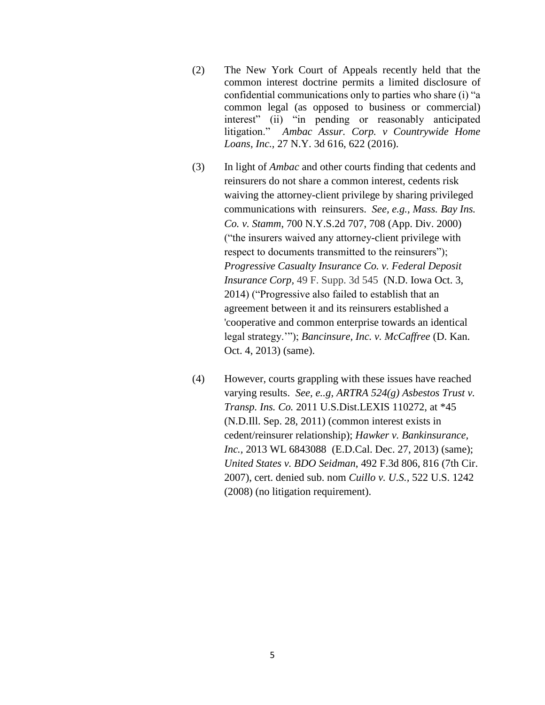- (2) The New York Court of Appeals recently held that the common interest doctrine permits a limited disclosure of confidential communications only to parties who share (i) "a common legal (as opposed to business or commercial) interest" (ii) "in pending or reasonably anticipated litigation." *Ambac Assur. Corp. v Countrywide Home Loans, Inc.,* 27 N.Y. 3d 616, 622 (2016).
- (3) In light of *Ambac* and other courts finding that cedents and reinsurers do not share a common interest, cedents risk waiving the attorney-client privilege by sharing privileged communications with reinsurers. *See, e.g., Mass. Bay Ins. Co. v. Stamm*, 700 N.Y.S.2d 707, 708 (App. Div. 2000) ("the insurers waived any attorney-client privilege with respect to documents transmitted to the reinsurers"); *Progressive Casualty Insurance Co. v. Federal Deposit Insurance Corp,* 49 F. Supp. 3d 545 (N.D. Iowa Oct. 3, 2014) ("Progressive also failed to establish that an agreement between it and its reinsurers established a 'cooperative and common enterprise towards an identical legal strategy.'"); *Bancinsure, Inc. v. McCaffree* (D. Kan. Oct. 4, 2013) (same).
- (4) However, courts grappling with these issues have reached varying results. *See, e..g, ARTRA 524(g) Asbestos Trust v. Transp. Ins. Co.* 2011 U.S.Dist.LEXIS 110272, at \*45 (N.D.Ill. Sep. 28, 2011) (common interest exists in cedent/reinsurer relationship); *Hawker v. Bankinsurance, Inc.,* 2013 WL 6843088 (E.D.Cal. Dec. 27, 2013) (same); *United States v. BDO Seidman*, 492 F.3d 806, 816 (7th Cir. 2007), cert. denied sub. nom *Cuillo v. U.S.,* 522 U.S. 1242 (2008) (no litigation requirement).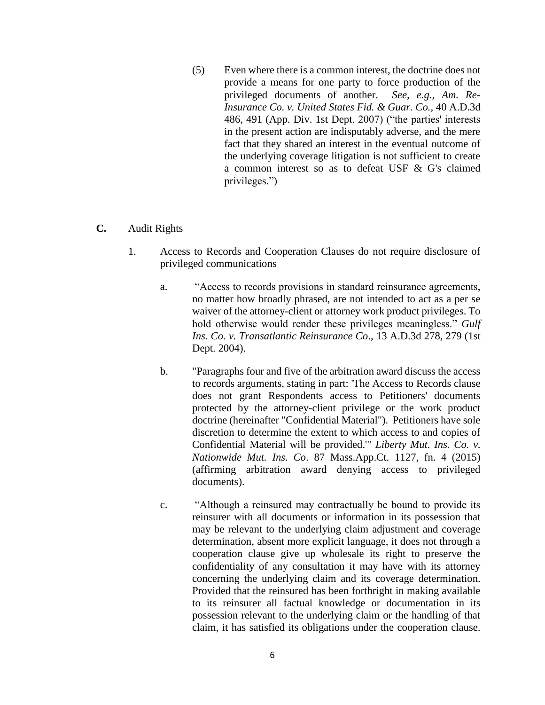(5) Even where there is a common interest, the doctrine does not provide a means for one party to force production of the privileged documents of another. *See, e.g., Am. Re-Insurance Co. v. United States Fid. & Guar. Co.,* 40 A.D.3d 486, 491 (App. Div. 1st Dept. 2007) ("the parties' interests in the present action are indisputably adverse, and the mere fact that they shared an interest in the eventual outcome of the underlying coverage litigation is not sufficient to create a common interest so as to defeat USF & G's claimed privileges.")

## **C.** Audit Rights

- 1. Access to Records and Cooperation Clauses do not require disclosure of privileged communications
	- a. "Access to records provisions in standard reinsurance agreements, no matter how broadly phrased, are not intended to act as a per se waiver of the attorney-client or attorney work product privileges. To hold otherwise would render these privileges meaningless." *Gulf Ins. Co. v. Transatlantic Reinsurance Co*., 13 A.D.3d 278, 279 (1st Dept. 2004).
	- b. "Paragraphs four and five of the arbitration award discuss the access to records arguments, stating in part: 'The Access to Records clause does not grant Respondents access to Petitioners' documents protected by the attorney-client privilege or the work product doctrine (hereinafter "Confidential Material"). Petitioners have sole discretion to determine the extent to which access to and copies of Confidential Material will be provided.'" *Liberty Mut. Ins. Co. v. Nationwide Mut. Ins. Co*. 87 Mass.App.Ct. 1127, fn. 4 (2015) (affirming arbitration award denying access to privileged documents).
	- c. "Although a reinsured may contractually be bound to provide its reinsurer with all documents or information in its possession that may be relevant to the underlying claim adjustment and coverage determination, absent more explicit language, it does not through a cooperation clause give up wholesale its right to preserve the confidentiality of any consultation it may have with its attorney concerning the underlying claim and its coverage determination. Provided that the reinsured has been forthright in making available to its reinsurer all factual knowledge or documentation in its possession relevant to the underlying claim or the handling of that claim, it has satisfied its obligations under the cooperation clause.